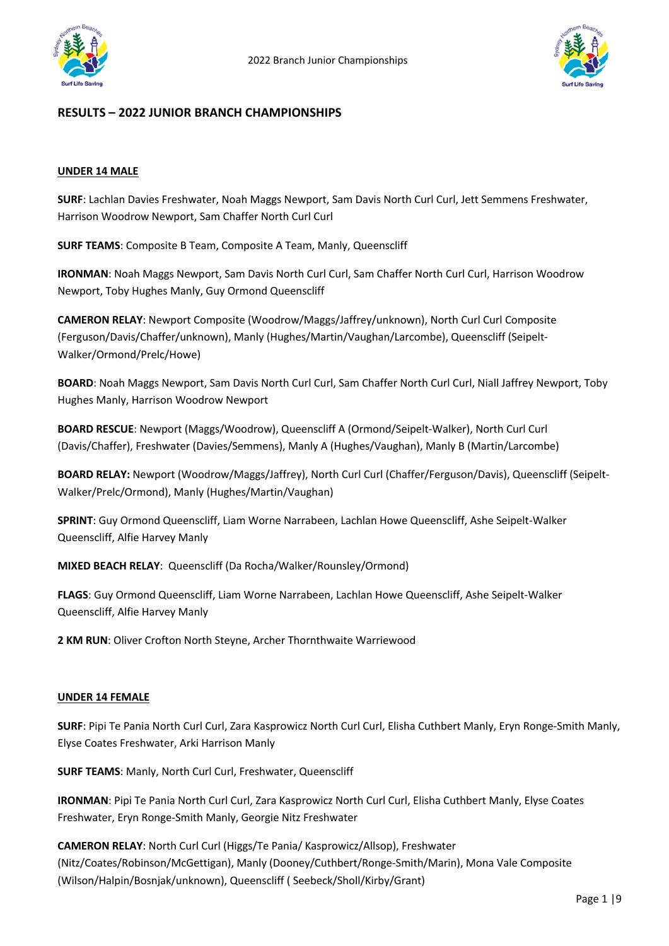



## **RESULTS – 2022 JUNIOR BRANCH CHAMPIONSHIPS**

#### **UNDER 14 MALE**

**SURF**: Lachlan Davies Freshwater, Noah Maggs Newport, Sam Davis North Curl Curl, Jett Semmens Freshwater, Harrison Woodrow Newport, Sam Chaffer North Curl Curl

**SURF TEAMS**: Composite B Team, Composite A Team, Manly, Queenscliff

**IRONMAN**: Noah Maggs Newport, Sam Davis North Curl Curl, Sam Chaffer North Curl Curl, Harrison Woodrow Newport, Toby Hughes Manly, Guy Ormond Queenscliff

**CAMERON RELAY**: Newport Composite (Woodrow/Maggs/Jaffrey/unknown), North Curl Curl Composite (Ferguson/Davis/Chaffer/unknown), Manly (Hughes/Martin/Vaughan/Larcombe), Queenscliff (Seipelt-Walker/Ormond/Prelc/Howe)

**BOARD**: Noah Maggs Newport, Sam Davis North Curl Curl, Sam Chaffer North Curl Curl, Niall Jaffrey Newport, Toby Hughes Manly, Harrison Woodrow Newport

**BOARD RESCUE**: Newport (Maggs/Woodrow), Queenscliff A (Ormond/Seipelt-Walker), North Curl Curl (Davis/Chaffer), Freshwater (Davies/Semmens), Manly A (Hughes/Vaughan), Manly B (Martin/Larcombe)

**BOARD RELAY:** Newport (Woodrow/Maggs/Jaffrey), North Curl Curl (Chaffer/Ferguson/Davis), Queenscliff (Seipelt-Walker/Prelc/Ormond), Manly (Hughes/Martin/Vaughan)

**SPRINT**: Guy Ormond Queenscliff, Liam Worne Narrabeen, Lachlan Howe Queenscliff, Ashe Seipelt-Walker Queenscliff, Alfie Harvey Manly

**MIXED BEACH RELAY**: Queenscliff (Da Rocha/Walker/Rounsley/Ormond)

**FLAGS**: Guy Ormond Queenscliff, Liam Worne Narrabeen, Lachlan Howe Queenscliff, Ashe Seipelt-Walker Queenscliff, Alfie Harvey Manly

**2 KM RUN**: Oliver Crofton North Steyne, Archer Thornthwaite Warriewood

### **UNDER 14 FEMALE**

**SURF**: Pipi Te Pania North Curl Curl, Zara Kasprowicz North Curl Curl, Elisha Cuthbert Manly, Eryn Ronge-Smith Manly, Elyse Coates Freshwater, Arki Harrison Manly

**SURF TEAMS**: Manly, North Curl Curl, Freshwater, Queenscliff

**IRONMAN**: Pipi Te Pania North Curl Curl, Zara Kasprowicz North Curl Curl, Elisha Cuthbert Manly, Elyse Coates Freshwater, Eryn Ronge-Smith Manly, Georgie Nitz Freshwater

**CAMERON RELAY**: North Curl Curl (Higgs/Te Pania/ Kasprowicz/Allsop), Freshwater (Nitz/Coates/Robinson/McGettigan), Manly (Dooney/Cuthbert/Ronge-Smith/Marin), Mona Vale Composite (Wilson/Halpin/Bosnjak/unknown), Queenscliff ( Seebeck/Sholl/Kirby/Grant)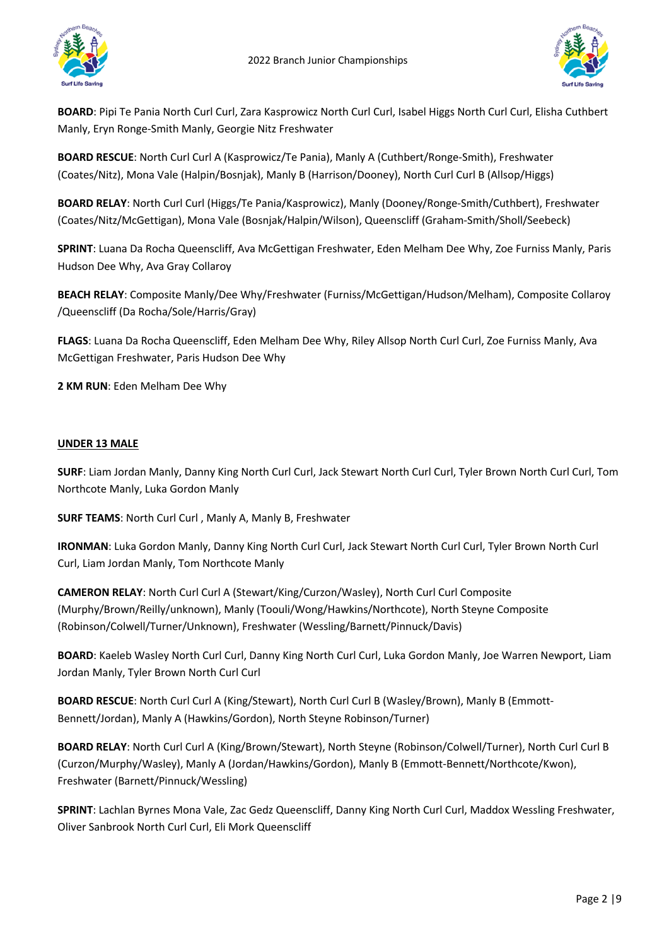



**BOARD**: Pipi Te Pania North Curl Curl, Zara Kasprowicz North Curl Curl, Isabel Higgs North Curl Curl, Elisha Cuthbert Manly, Eryn Ronge-Smith Manly, Georgie Nitz Freshwater

**BOARD RESCUE**: North Curl Curl A (Kasprowicz/Te Pania), Manly A (Cuthbert/Ronge-Smith), Freshwater (Coates/Nitz), Mona Vale (Halpin/Bosnjak), Manly B (Harrison/Dooney), North Curl Curl B (Allsop/Higgs)

**BOARD RELAY**: North Curl Curl (Higgs/Te Pania/Kasprowicz), Manly (Dooney/Ronge-Smith/Cuthbert), Freshwater (Coates/Nitz/McGettigan), Mona Vale (Bosnjak/Halpin/Wilson), Queenscliff (Graham-Smith/Sholl/Seebeck)

**SPRINT**: Luana Da Rocha Queenscliff, Ava McGettigan Freshwater, Eden Melham Dee Why, Zoe Furniss Manly, Paris Hudson Dee Why, Ava Gray Collaroy

**BEACH RELAY**: Composite Manly/Dee Why/Freshwater (Furniss/McGettigan/Hudson/Melham), Composite Collaroy /Queenscliff (Da Rocha/Sole/Harris/Gray)

**FLAGS**: Luana Da Rocha Queenscliff, Eden Melham Dee Why, Riley Allsop North Curl Curl, Zoe Furniss Manly, Ava McGettigan Freshwater, Paris Hudson Dee Why

**2 KM RUN**: Eden Melham Dee Why

### **UNDER 13 MALE**

**SURF**: Liam Jordan Manly, Danny King North Curl Curl, Jack Stewart North Curl Curl, Tyler Brown North Curl Curl, Tom Northcote Manly, Luka Gordon Manly

**SURF TEAMS**: North Curl Curl , Manly A, Manly B, Freshwater

**IRONMAN**: Luka Gordon Manly, Danny King North Curl Curl, Jack Stewart North Curl Curl, Tyler Brown North Curl Curl, Liam Jordan Manly, Tom Northcote Manly

**CAMERON RELAY**: North Curl Curl A (Stewart/King/Curzon/Wasley), North Curl Curl Composite (Murphy/Brown/Reilly/unknown), Manly (Toouli/Wong/Hawkins/Northcote), North Steyne Composite (Robinson/Colwell/Turner/Unknown), Freshwater (Wessling/Barnett/Pinnuck/Davis)

**BOARD**: Kaeleb Wasley North Curl Curl, Danny King North Curl Curl, Luka Gordon Manly, Joe Warren Newport, Liam Jordan Manly, Tyler Brown North Curl Curl

**BOARD RESCUE**: North Curl Curl A (King/Stewart), North Curl Curl B (Wasley/Brown), Manly B (Emmott-Bennett/Jordan), Manly A (Hawkins/Gordon), North Steyne Robinson/Turner)

**BOARD RELAY**: North Curl Curl A (King/Brown/Stewart), North Steyne (Robinson/Colwell/Turner), North Curl Curl B (Curzon/Murphy/Wasley), Manly A (Jordan/Hawkins/Gordon), Manly B (Emmott-Bennett/Northcote/Kwon), Freshwater (Barnett/Pinnuck/Wessling)

**SPRINT**: Lachlan Byrnes Mona Vale, Zac Gedz Queenscliff, Danny King North Curl Curl, Maddox Wessling Freshwater, Oliver Sanbrook North Curl Curl, Eli Mork Queenscliff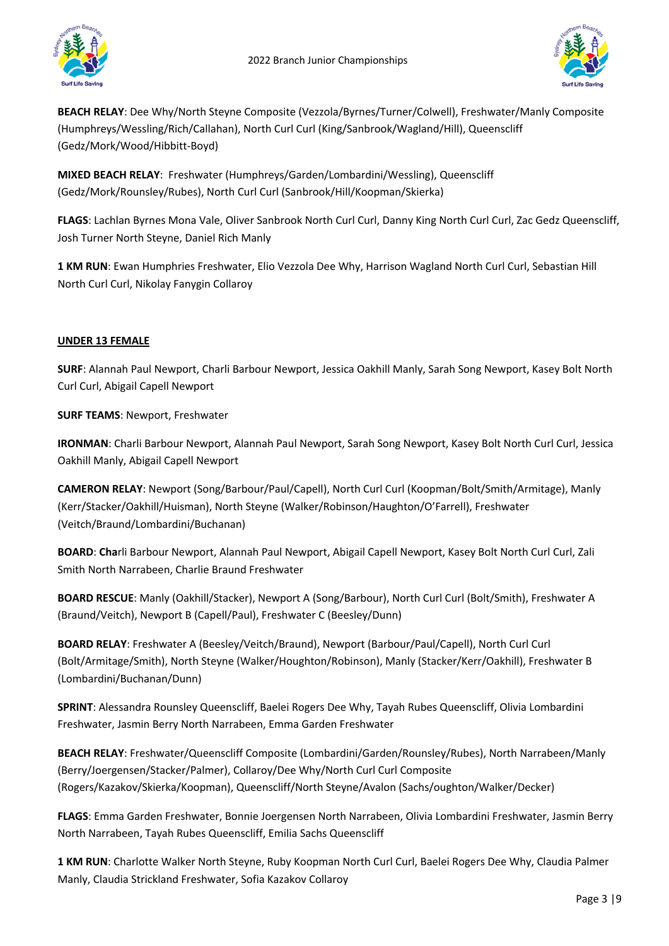



**BEACH RELAY**: Dee Why/North Steyne Composite (Vezzola/Byrnes/Turner/Colwell), Freshwater/Manly Composite (Humphreys/Wessling/Rich/Callahan), North Curl Curl (King/Sanbrook/Wagland/Hill), Queenscliff (Gedz/Mork/Wood/Hibbitt-Boyd)

**MIXED BEACH RELAY**: Freshwater (Humphreys/Garden/Lombardini/Wessling), Queenscliff (Gedz/Mork/Rounsley/Rubes), North Curl Curl (Sanbrook/Hill/Koopman/Skierka)

**FLAGS**: Lachlan Byrnes Mona Vale, Oliver Sanbrook North Curl Curl, Danny King North Curl Curl, Zac Gedz Queenscliff, Josh Turner North Steyne, Daniel Rich Manly

**1 KM RUN**: Ewan Humphries Freshwater, Elio Vezzola Dee Why, Harrison Wagland North Curl Curl, Sebastian Hill North Curl Curl, Nikolay Fanygin Collaroy

# **UNDER 13 FEMALE**

**SURF**: Alannah Paul Newport, Charli Barbour Newport, Jessica Oakhill Manly, Sarah Song Newport, Kasey Bolt North Curl Curl, Abigail Capell Newport

**SURF TEAMS**: Newport, Freshwater

**IRONMAN**: Charli Barbour Newport, Alannah Paul Newport, Sarah Song Newport, Kasey Bolt North Curl Curl, Jessica Oakhill Manly, Abigail Capell Newport

**CAMERON RELAY**: Newport (Song/Barbour/Paul/Capell), North Curl Curl (Koopman/Bolt/Smith/Armitage), Manly (Kerr/Stacker/Oakhill/Huisman), North Steyne (Walker/Robinson/Haughton/O'Farrell), Freshwater (Veitch/Braund/Lombardini/Buchanan)

**BOARD**: **Cha**rli Barbour Newport, Alannah Paul Newport, Abigail Capell Newport, Kasey Bolt North Curl Curl, Zali Smith North Narrabeen, Charlie Braund Freshwater

**BOARD RESCUE**: Manly (Oakhill/Stacker), Newport A (Song/Barbour), North Curl Curl (Bolt/Smith), Freshwater A (Braund/Veitch), Newport B (Capell/Paul), Freshwater C (Beesley/Dunn)

**BOARD RELAY**: Freshwater A (Beesley/Veitch/Braund), Newport (Barbour/Paul/Capell), North Curl Curl (Bolt/Armitage/Smith), North Steyne (Walker/Houghton/Robinson), Manly (Stacker/Kerr/Oakhill), Freshwater B (Lombardini/Buchanan/Dunn)

**SPRINT**: Alessandra Rounsley Queenscliff, Baelei Rogers Dee Why, Tayah Rubes Queenscliff, Olivia Lombardini Freshwater, Jasmin Berry North Narrabeen, Emma Garden Freshwater

**BEACH RELAY**: Freshwater/Queenscliff Composite (Lombardini/Garden/Rounsley/Rubes), North Narrabeen/Manly (Berry/Joergensen/Stacker/Palmer), Collaroy/Dee Why/North Curl Curl Composite (Rogers/Kazakov/Skierka/Koopman), Queenscliff/North Steyne/Avalon (Sachs/oughton/Walker/Decker)

**FLAGS**: Emma Garden Freshwater, Bonnie Joergensen North Narrabeen, Olivia Lombardini Freshwater, Jasmin Berry North Narrabeen, Tayah Rubes Queenscliff, Emilia Sachs Queenscliff

**1 KM RUN**: Charlotte Walker North Steyne, Ruby Koopman North Curl Curl, Baelei Rogers Dee Why, Claudia Palmer Manly, Claudia Strickland Freshwater, Sofia Kazakov Collaroy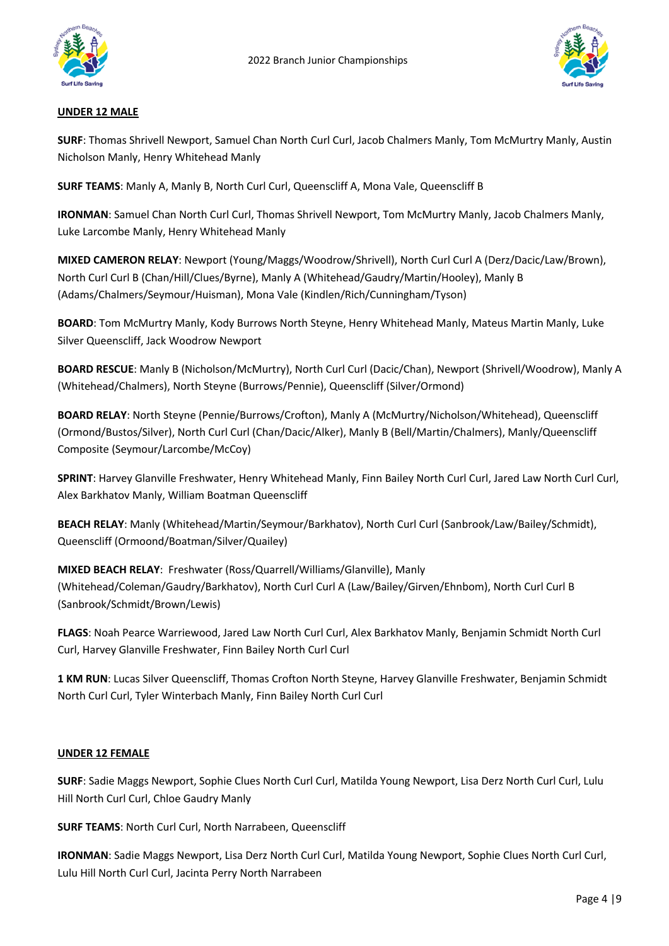



### **UNDER 12 MALE**

**SURF**: Thomas Shrivell Newport, Samuel Chan North Curl Curl, Jacob Chalmers Manly, Tom McMurtry Manly, Austin Nicholson Manly, Henry Whitehead Manly

**SURF TEAMS**: Manly A, Manly B, North Curl Curl, Queenscliff A, Mona Vale, Queenscliff B

**IRONMAN**: Samuel Chan North Curl Curl, Thomas Shrivell Newport, Tom McMurtry Manly, Jacob Chalmers Manly, Luke Larcombe Manly, Henry Whitehead Manly

**MIXED CAMERON RELAY**: Newport (Young/Maggs/Woodrow/Shrivell), North Curl Curl A (Derz/Dacic/Law/Brown), North Curl Curl B (Chan/Hill/Clues/Byrne), Manly A (Whitehead/Gaudry/Martin/Hooley), Manly B (Adams/Chalmers/Seymour/Huisman), Mona Vale (Kindlen/Rich/Cunningham/Tyson)

**BOARD**: Tom McMurtry Manly, Kody Burrows North Steyne, Henry Whitehead Manly, Mateus Martin Manly, Luke Silver Queenscliff, Jack Woodrow Newport

**BOARD RESCUE**: Manly B (Nicholson/McMurtry), North Curl Curl (Dacic/Chan), Newport (Shrivell/Woodrow), Manly A (Whitehead/Chalmers), North Steyne (Burrows/Pennie), Queenscliff (Silver/Ormond)

**BOARD RELAY**: North Steyne (Pennie/Burrows/Crofton), Manly A (McMurtry/Nicholson/Whitehead), Queenscliff (Ormond/Bustos/Silver), North Curl Curl (Chan/Dacic/Alker), Manly B (Bell/Martin/Chalmers), Manly/Queenscliff Composite (Seymour/Larcombe/McCoy)

**SPRINT**: Harvey Glanville Freshwater, Henry Whitehead Manly, Finn Bailey North Curl Curl, Jared Law North Curl Curl, Alex Barkhatov Manly, William Boatman Queenscliff

**BEACH RELAY**: Manly (Whitehead/Martin/Seymour/Barkhatov), North Curl Curl (Sanbrook/Law/Bailey/Schmidt), Queenscliff (Ormoond/Boatman/Silver/Quailey)

**MIXED BEACH RELAY**: Freshwater (Ross/Quarrell/Williams/Glanville), Manly (Whitehead/Coleman/Gaudry/Barkhatov), North Curl Curl A (Law/Bailey/Girven/Ehnbom), North Curl Curl B (Sanbrook/Schmidt/Brown/Lewis)

**FLAGS**: Noah Pearce Warriewood, Jared Law North Curl Curl, Alex Barkhatov Manly, Benjamin Schmidt North Curl Curl, Harvey Glanville Freshwater, Finn Bailey North Curl Curl

**1 KM RUN**: Lucas Silver Queenscliff, Thomas Crofton North Steyne, Harvey Glanville Freshwater, Benjamin Schmidt North Curl Curl, Tyler Winterbach Manly, Finn Bailey North Curl Curl

### **UNDER 12 FEMALE**

**SURF**: Sadie Maggs Newport, Sophie Clues North Curl Curl, Matilda Young Newport, Lisa Derz North Curl Curl, Lulu Hill North Curl Curl, Chloe Gaudry Manly

**SURF TEAMS**: North Curl Curl, North Narrabeen, Queenscliff

**IRONMAN**: Sadie Maggs Newport, Lisa Derz North Curl Curl, Matilda Young Newport, Sophie Clues North Curl Curl, Lulu Hill North Curl Curl, Jacinta Perry North Narrabeen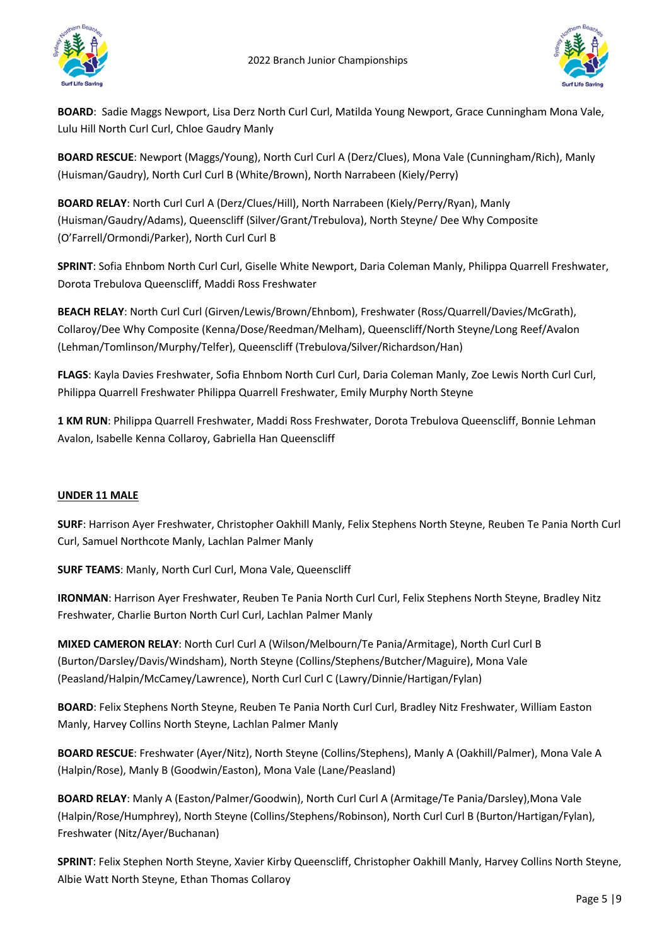

**BOARD**: Sadie Maggs Newport, Lisa Derz North Curl Curl, Matilda Young Newport, Grace Cunningham Mona Vale, Lulu Hill North Curl Curl, Chloe Gaudry Manly

**BOARD RESCUE**: Newport (Maggs/Young), North Curl Curl A (Derz/Clues), Mona Vale (Cunningham/Rich), Manly (Huisman/Gaudry), North Curl Curl B (White/Brown), North Narrabeen (Kiely/Perry)

**BOARD RELAY**: North Curl Curl A (Derz/Clues/Hill), North Narrabeen (Kiely/Perry/Ryan), Manly (Huisman/Gaudry/Adams), Queenscliff (Silver/Grant/Trebulova), North Steyne/ Dee Why Composite (O'Farrell/Ormondi/Parker), North Curl Curl B

**SPRINT**: Sofia Ehnbom North Curl Curl, Giselle White Newport, Daria Coleman Manly, Philippa Quarrell Freshwater, Dorota Trebulova Queenscliff, Maddi Ross Freshwater

**BEACH RELAY**: North Curl Curl (Girven/Lewis/Brown/Ehnbom), Freshwater (Ross/Quarrell/Davies/McGrath), Collaroy/Dee Why Composite (Kenna/Dose/Reedman/Melham), Queenscliff/North Steyne/Long Reef/Avalon (Lehman/Tomlinson/Murphy/Telfer), Queenscliff (Trebulova/Silver/Richardson/Han)

**FLAGS**: Kayla Davies Freshwater, Sofia Ehnbom North Curl Curl, Daria Coleman Manly, Zoe Lewis North Curl Curl, Philippa Quarrell Freshwater Philippa Quarrell Freshwater, Emily Murphy North Steyne

**1 KM RUN**: Philippa Quarrell Freshwater, Maddi Ross Freshwater, Dorota Trebulova Queenscliff, Bonnie Lehman Avalon, Isabelle Kenna Collaroy, Gabriella Han Queenscliff

## **UNDER 11 MALE**

**SURF**: Harrison Ayer Freshwater, Christopher Oakhill Manly, Felix Stephens North Steyne, Reuben Te Pania North Curl Curl, Samuel Northcote Manly, Lachlan Palmer Manly

**SURF TEAMS**: Manly, North Curl Curl, Mona Vale, Queenscliff

**IRONMAN**: Harrison Ayer Freshwater, Reuben Te Pania North Curl Curl, Felix Stephens North Steyne, Bradley Nitz Freshwater, Charlie Burton North Curl Curl, Lachlan Palmer Manly

**MIXED CAMERON RELAY**: North Curl Curl A (Wilson/Melbourn/Te Pania/Armitage), North Curl Curl B (Burton/Darsley/Davis/Windsham), North Steyne (Collins/Stephens/Butcher/Maguire), Mona Vale (Peasland/Halpin/McCamey/Lawrence), North Curl Curl C (Lawry/Dinnie/Hartigan/Fylan)

**BOARD**: Felix Stephens North Steyne, Reuben Te Pania North Curl Curl, Bradley Nitz Freshwater, William Easton Manly, Harvey Collins North Steyne, Lachlan Palmer Manly

**BOARD RESCUE**: Freshwater (Ayer/Nitz), North Steyne (Collins/Stephens), Manly A (Oakhill/Palmer), Mona Vale A (Halpin/Rose), Manly B (Goodwin/Easton), Mona Vale (Lane/Peasland)

**BOARD RELAY**: Manly A (Easton/Palmer/Goodwin), North Curl Curl A (Armitage/Te Pania/Darsley),Mona Vale (Halpin/Rose/Humphrey), North Steyne (Collins/Stephens/Robinson), North Curl Curl B (Burton/Hartigan/Fylan), Freshwater (Nitz/Ayer/Buchanan)

**SPRINT**: Felix Stephen North Steyne, Xavier Kirby Queenscliff, Christopher Oakhill Manly, Harvey Collins North Steyne, Albie Watt North Steyne, Ethan Thomas Collaroy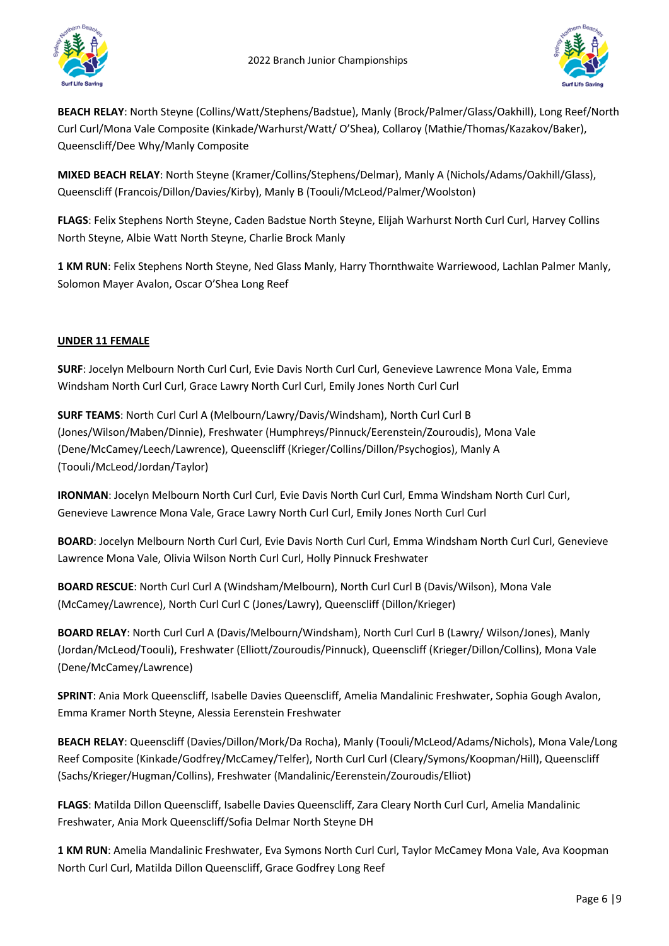



**BEACH RELAY**: North Steyne (Collins/Watt/Stephens/Badstue), Manly (Brock/Palmer/Glass/Oakhill), Long Reef/North Curl Curl/Mona Vale Composite (Kinkade/Warhurst/Watt/ O'Shea), Collaroy (Mathie/Thomas/Kazakov/Baker), Queenscliff/Dee Why/Manly Composite

**MIXED BEACH RELAY**: North Steyne (Kramer/Collins/Stephens/Delmar), Manly A (Nichols/Adams/Oakhill/Glass), Queenscliff (Francois/Dillon/Davies/Kirby), Manly B (Toouli/McLeod/Palmer/Woolston)

**FLAGS**: Felix Stephens North Steyne, Caden Badstue North Steyne, Elijah Warhurst North Curl Curl, Harvey Collins North Steyne, Albie Watt North Steyne, Charlie Brock Manly

**1 KM RUN**: Felix Stephens North Steyne, Ned Glass Manly, Harry Thornthwaite Warriewood, Lachlan Palmer Manly, Solomon Mayer Avalon, Oscar O'Shea Long Reef

# **UNDER 11 FEMALE**

**SURF**: Jocelyn Melbourn North Curl Curl, Evie Davis North Curl Curl, Genevieve Lawrence Mona Vale, Emma Windsham North Curl Curl, Grace Lawry North Curl Curl, Emily Jones North Curl Curl

**SURF TEAMS**: North Curl Curl A (Melbourn/Lawry/Davis/Windsham), North Curl Curl B (Jones/Wilson/Maben/Dinnie), Freshwater (Humphreys/Pinnuck/Eerenstein/Zouroudis), Mona Vale (Dene/McCamey/Leech/Lawrence), Queenscliff (Krieger/Collins/Dillon/Psychogios), Manly A (Toouli/McLeod/Jordan/Taylor)

**IRONMAN**: Jocelyn Melbourn North Curl Curl, Evie Davis North Curl Curl, Emma Windsham North Curl Curl, Genevieve Lawrence Mona Vale, Grace Lawry North Curl Curl, Emily Jones North Curl Curl

**BOARD**: Jocelyn Melbourn North Curl Curl, Evie Davis North Curl Curl, Emma Windsham North Curl Curl, Genevieve Lawrence Mona Vale, Olivia Wilson North Curl Curl, Holly Pinnuck Freshwater

**BOARD RESCUE**: North Curl Curl A (Windsham/Melbourn), North Curl Curl B (Davis/Wilson), Mona Vale (McCamey/Lawrence), North Curl Curl C (Jones/Lawry), Queenscliff (Dillon/Krieger)

**BOARD RELAY**: North Curl Curl A (Davis/Melbourn/Windsham), North Curl Curl B (Lawry/ Wilson/Jones), Manly (Jordan/McLeod/Toouli), Freshwater (Elliott/Zouroudis/Pinnuck), Queenscliff (Krieger/Dillon/Collins), Mona Vale (Dene/McCamey/Lawrence)

**SPRINT**: Ania Mork Queenscliff, Isabelle Davies Queenscliff, Amelia Mandalinic Freshwater, Sophia Gough Avalon, Emma Kramer North Steyne, Alessia Eerenstein Freshwater

**BEACH RELAY**: Queenscliff (Davies/Dillon/Mork/Da Rocha), Manly (Toouli/McLeod/Adams/Nichols), Mona Vale/Long Reef Composite (Kinkade/Godfrey/McCamey/Telfer), North Curl Curl (Cleary/Symons/Koopman/Hill), Queenscliff (Sachs/Krieger/Hugman/Collins), Freshwater (Mandalinic/Eerenstein/Zouroudis/Elliot)

**FLAGS**: Matilda Dillon Queenscliff, Isabelle Davies Queenscliff, Zara Cleary North Curl Curl, Amelia Mandalinic Freshwater, Ania Mork Queenscliff/Sofia Delmar North Steyne DH

**1 KM RUN**: Amelia Mandalinic Freshwater, Eva Symons North Curl Curl, Taylor McCamey Mona Vale, Ava Koopman North Curl Curl, Matilda Dillon Queenscliff, Grace Godfrey Long Reef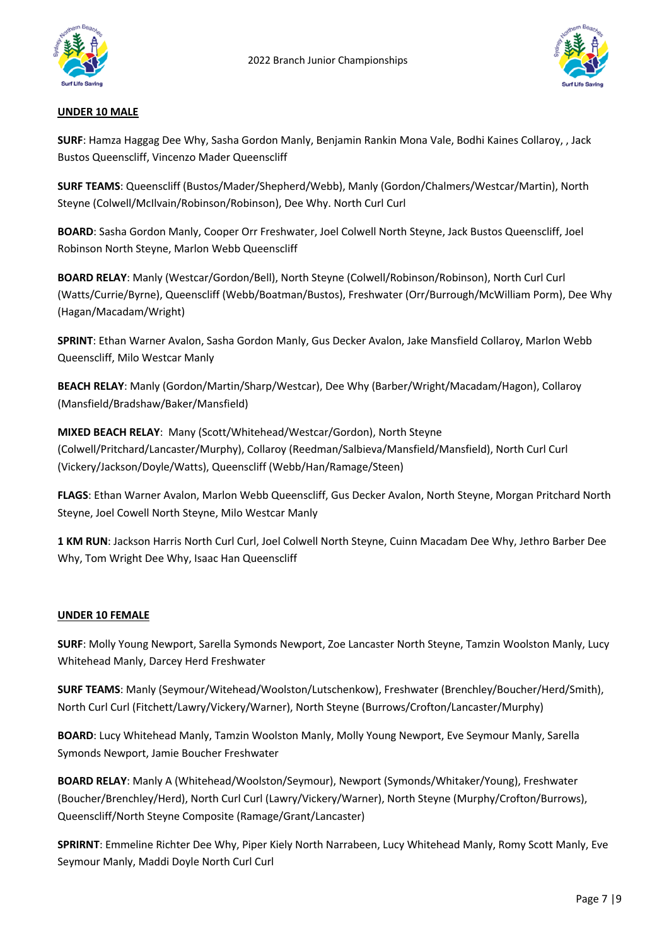



### **UNDER 10 MALE**

**SURF**: Hamza Haggag Dee Why, Sasha Gordon Manly, Benjamin Rankin Mona Vale, Bodhi Kaines Collaroy, , Jack Bustos Queenscliff, Vincenzo Mader Queenscliff

**SURF TEAMS**: Queenscliff (Bustos/Mader/Shepherd/Webb), Manly (Gordon/Chalmers/Westcar/Martin), North Steyne (Colwell/McIlvain/Robinson/Robinson), Dee Why. North Curl Curl

**BOARD**: Sasha Gordon Manly, Cooper Orr Freshwater, Joel Colwell North Steyne, Jack Bustos Queenscliff, Joel Robinson North Steyne, Marlon Webb Queenscliff

**BOARD RELAY**: Manly (Westcar/Gordon/Bell), North Steyne (Colwell/Robinson/Robinson), North Curl Curl (Watts/Currie/Byrne), Queenscliff (Webb/Boatman/Bustos), Freshwater (Orr/Burrough/McWilliam Porm), Dee Why (Hagan/Macadam/Wright)

**SPRINT**: Ethan Warner Avalon, Sasha Gordon Manly, Gus Decker Avalon, Jake Mansfield Collaroy, Marlon Webb Queenscliff, Milo Westcar Manly

**BEACH RELAY**: Manly (Gordon/Martin/Sharp/Westcar), Dee Why (Barber/Wright/Macadam/Hagon), Collaroy (Mansfield/Bradshaw/Baker/Mansfield)

**MIXED BEACH RELAY**: Many (Scott/Whitehead/Westcar/Gordon), North Steyne (Colwell/Pritchard/Lancaster/Murphy), Collaroy (Reedman/Salbieva/Mansfield/Mansfield), North Curl Curl (Vickery/Jackson/Doyle/Watts), Queenscliff (Webb/Han/Ramage/Steen)

**FLAGS**: Ethan Warner Avalon, Marlon Webb Queenscliff, Gus Decker Avalon, North Steyne, Morgan Pritchard North Steyne, Joel Cowell North Steyne, Milo Westcar Manly

**1 KM RUN**: Jackson Harris North Curl Curl, Joel Colwell North Steyne, Cuinn Macadam Dee Why, Jethro Barber Dee Why, Tom Wright Dee Why, Isaac Han Queenscliff

### **UNDER 10 FEMALE**

**SURF**: Molly Young Newport, Sarella Symonds Newport, Zoe Lancaster North Steyne, Tamzin Woolston Manly, Lucy Whitehead Manly, Darcey Herd Freshwater

**SURF TEAMS**: Manly (Seymour/Witehead/Woolston/Lutschenkow), Freshwater (Brenchley/Boucher/Herd/Smith), North Curl Curl (Fitchett/Lawry/Vickery/Warner), North Steyne (Burrows/Crofton/Lancaster/Murphy)

**BOARD**: Lucy Whitehead Manly, Tamzin Woolston Manly, Molly Young Newport, Eve Seymour Manly, Sarella Symonds Newport, Jamie Boucher Freshwater

**BOARD RELAY**: Manly A (Whitehead/Woolston/Seymour), Newport (Symonds/Whitaker/Young), Freshwater (Boucher/Brenchley/Herd), North Curl Curl (Lawry/Vickery/Warner), North Steyne (Murphy/Crofton/Burrows), Queenscliff/North Steyne Composite (Ramage/Grant/Lancaster)

**SPRIRNT**: Emmeline Richter Dee Why, Piper Kiely North Narrabeen, Lucy Whitehead Manly, Romy Scott Manly, Eve Seymour Manly, Maddi Doyle North Curl Curl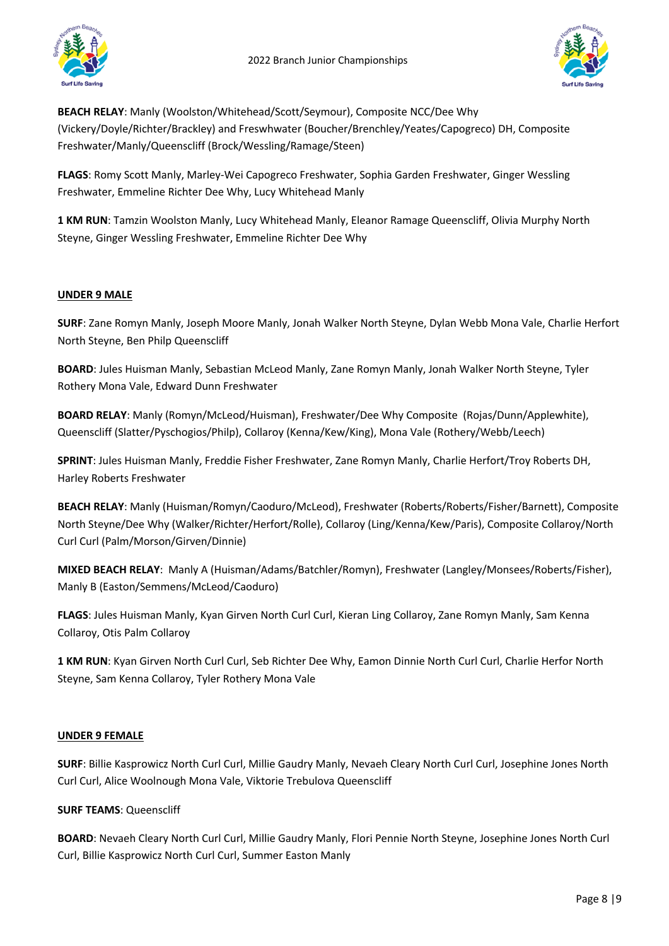

**BEACH RELAY**: Manly (Woolston/Whitehead/Scott/Seymour), Composite NCC/Dee Why (Vickery/Doyle/Richter/Brackley) and Freswhwater (Boucher/Brenchley/Yeates/Capogreco) DH, Composite Freshwater/Manly/Queenscliff (Brock/Wessling/Ramage/Steen)

**FLAGS**: Romy Scott Manly, Marley-Wei Capogreco Freshwater, Sophia Garden Freshwater, Ginger Wessling Freshwater, Emmeline Richter Dee Why, Lucy Whitehead Manly

**1 KM RUN**: Tamzin Woolston Manly, Lucy Whitehead Manly, Eleanor Ramage Queenscliff, Olivia Murphy North Steyne, Ginger Wessling Freshwater, Emmeline Richter Dee Why

### **UNDER 9 MALE**

**SURF**: Zane Romyn Manly, Joseph Moore Manly, Jonah Walker North Steyne, Dylan Webb Mona Vale, Charlie Herfort North Steyne, Ben Philp Queenscliff

**BOARD**: Jules Huisman Manly, Sebastian McLeod Manly, Zane Romyn Manly, Jonah Walker North Steyne, Tyler Rothery Mona Vale, Edward Dunn Freshwater

**BOARD RELAY**: Manly (Romyn/McLeod/Huisman), Freshwater/Dee Why Composite (Rojas/Dunn/Applewhite), Queenscliff (Slatter/Pyschogios/Philp), Collaroy (Kenna/Kew/King), Mona Vale (Rothery/Webb/Leech)

**SPRINT**: Jules Huisman Manly, Freddie Fisher Freshwater, Zane Romyn Manly, Charlie Herfort/Troy Roberts DH, Harley Roberts Freshwater

**BEACH RELAY**: Manly (Huisman/Romyn/Caoduro/McLeod), Freshwater (Roberts/Roberts/Fisher/Barnett), Composite North Steyne/Dee Why (Walker/Richter/Herfort/Rolle), Collaroy (Ling/Kenna/Kew/Paris), Composite Collaroy/North Curl Curl (Palm/Morson/Girven/Dinnie)

**MIXED BEACH RELAY**: Manly A (Huisman/Adams/Batchler/Romyn), Freshwater (Langley/Monsees/Roberts/Fisher), Manly B (Easton/Semmens/McLeod/Caoduro)

**FLAGS**: Jules Huisman Manly, Kyan Girven North Curl Curl, Kieran Ling Collaroy, Zane Romyn Manly, Sam Kenna Collaroy, Otis Palm Collaroy

**1 KM RUN**: Kyan Girven North Curl Curl, Seb Richter Dee Why, Eamon Dinnie North Curl Curl, Charlie Herfor North Steyne, Sam Kenna Collaroy, Tyler Rothery Mona Vale

## **UNDER 9 FEMALE**

**SURF**: Billie Kasprowicz North Curl Curl, Millie Gaudry Manly, Nevaeh Cleary North Curl Curl, Josephine Jones North Curl Curl, Alice Woolnough Mona Vale, Viktorie Trebulova Queenscliff

### **SURF TEAMS**: Queenscliff

**BOARD**: Nevaeh Cleary North Curl Curl, Millie Gaudry Manly, Flori Pennie North Steyne, Josephine Jones North Curl Curl, Billie Kasprowicz North Curl Curl, Summer Easton Manly